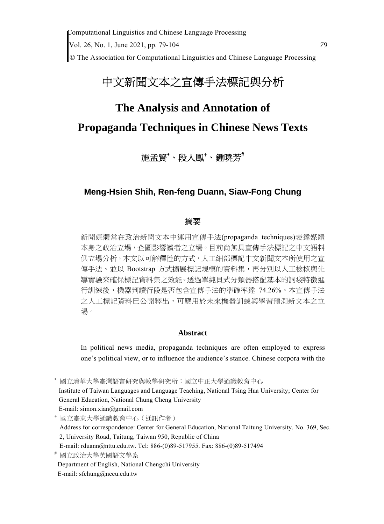# 中文新聞文本之宣傳手法標記與分析

# **The Analysis and Annotation of Propaganda Techniques in Chinese News Texts**

## 施孟賢\*、段人鳳\*、鍾曉芳<sup>#</sup>

## **Meng-Hsien Shih, Ren-feng Duann, Siaw-Fong Chung**

#### 摘要

新聞媒體常在政治新聞文本中運用宣傳手法(propaganda techniques)表達媒體 本身之政治立場,企圖影響讀者之立場。目前尚無具宣傳手法標記之中文語料 供立場分析,本文以可解釋性的方式,人工細部標記中文新聞文本所使用之宣 傳手法、並以 Bootstrap 方式擴展標記規模的資料集,再分別以人工檢核與先 導實驗來確保標記資料集之效能。透過單純貝式分類器搭配基本的詞袋特徵進 行訓練後,機器判讀行段是否包含宣傳手法的準確率達 74.26%。本宣傳手法 之人工標記資料已公開釋出,可應用於未來機器訓練與學習預測新文本之立 場。

#### **Abstract**

In political news media, propaganda techniques are often employed to express one's political view, or to influence the audience's stance. Chinese corpora with the

 國立臺東大學通識教育中心(通訊作者) Address for correspondence: Center for General Education, National Taitung University. No. 369, Sec. 2, University Road, Taitung, Taiwan 950, Republic of China E-mail: rduann@nttu.edu.tw. Tel: 886-(0)89-517955. Fax: 886-(0)89-517494

國立清華大學臺灣語言研究與教學研究所;國立中正大學通識教育中心 Institute of Taiwan Languages and Language Teaching, National Tsing Hua University; Center for General Education, National Chung Cheng University E-mail: simon.xian@gmail.com

國立政治大學英國語文學系

Department of English, National Chengchi University

E-mail: sfchung@nccu.edu.tw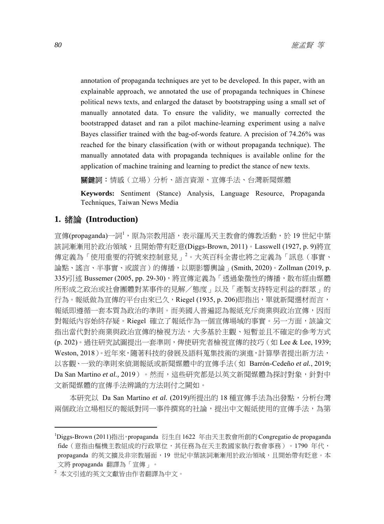annotation of propaganda techniques are yet to be developed. In this paper, with an explainable approach, we annotated the use of propaganda techniques in Chinese political news texts, and enlarged the dataset by bootstrapping using a small set of manually annotated data. To ensure the validity, we manually corrected the bootstrapped dataset and ran a pilot machine-learning experiment using a naïve Bayes classifier trained with the bag-of-words feature. A precision of 74.26% was reached for the binary classification (with or without propaganda technique). The manually annotated data with propaganda techniques is available online for the application of machine training and learning to predict the stance of new texts.

關鍵詞:情感(立場)分析、語言資源、宣傳手法、台灣新聞媒體

**Keywords:** Sentiment (Stance) Analysis, Language Resource, Propaganda Techniques, Taiwan News Media

#### **1.** 緒論 **(Introduction)**

宣傳(propaganda)一詞<sup>1</sup>,原為宗教用語,表示羅馬天主教會的傳教活動,於 19 世紀中葉 該詞漸漸用於政治領域,且開始帶有貶意(Diggs-Brown, 2011)。Lasswell (1927, p. 9)將宣 傳定義為「使用重要的符號來控制意見」<sup>2</sup>。大英百科全書也將之定義為「訊息(事實、 論點、謠言、半事實、或謊言 ) 的傳播,以期影響輿論 」 (Smith, 2020)。Zollman (2019, p. 335)引述 Bussemer (2005, pp. 29-30), 將宣傳定義為「透過象徵性的傳播, 散布經由媒體 所形成之政治或社會團體對某事件的見解/態度」以及「產製支持特定利益的群眾」的 行為。報紙做為宣傳的平台由來已久,Riegel (1935, p. 206)即指出,單就新聞選材而言, 報紙即遵循一套本質為政治的準則。而美國人普遍認為報紙充斥商業與政治宣傳,因而 對報紙內容始終存疑。Riegel 確立了報紙作為一個宣傳場域的事實。另一方面,該論文 指出當代對於商業與政治宣傳的檢視方法,大多基於主觀、短暫並且不確定的參考方式 (p. 202)。過往研究試圖提出一套準則,俾使研究者檢視宣傳的技巧(如 Lee & Lee, 1939; Weston, 2018)。近年來, 隨著科技的發展及語料蒐集技術的演進, 計算學者提出新方法, 以客觀、一致的準則來偵測報紙或新聞媒體中的宣傳手法(如 Barrón-Cedeño *et al.*, 2019; Da San Martino *et al.*, 2019) 。然而,這些研究都是以英文新聞媒體為探討對象,針對中 文新聞媒體的宣傳手法辨識的方法則付之闕如。

本研究以 Da San Martino *et al.* (2019)所提出的 18 種宣傳手法為出發點,分析台灣 兩個政治立場相反的報紙對同一事件撰寫的社論,提出中文報紙使用的宣傳手法,為第

<sup>&</sup>lt;sup>1</sup>Diggs-Brown (2011)指出, propaganda 衍生自1622 年由天主教會所創的 Congregatio de propaganda fide(意指由樞機主教組成的行政單位,其任務為在天主教國家執行教會事務)。1790 年代, propaganda 的英文擴及非宗教層面, 19 世紀中葉該詞漸漸用於政治領域,且開始帶有貶意。本 文將 propaganda 翻譯為「宣傳」。

<sup>2</sup> 本文引述的英文文獻皆由作者翻譯為中文。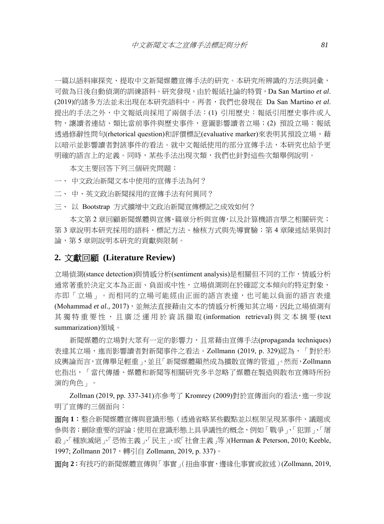一篇以語料庫探究、提取中文新聞媒體宣傳手法的研究。本研究所辨識的方法與詞彙, 可做為日後自動偵測的訓練語料。研究發現,由於報紙社論的特質,Da San Martino *et al*. (2019)的諸多方法並未出現在本研究語料中。再者,我們也發現在 Da San Martino *et al*. 提出的手法之外,中文報紙尚採用了兩個手法:(1) 引用歷史:報紙引用歷史事件或人 物,讓讀者連結、類比當前事件與歷史事件,意圖影響讀者立場;(2) 預設立場:報紙 透過修辭性問句(rhetorical question)和評價標記(evaluative marker)來表明其預設立場,藉 以暗示並影響讀者對該事件的看法。就中文報紙使用的部分宣傳手法,本研究也給予更 明確的語言上的定義。同時,某些手法出現次類,我們也針對這些次類舉例說明。

本文主要回答下列三個研究問題:

一、 中文政治新聞文本中使用的宣傳手法為何?

- 二、 中、英文政治新聞採用的宣傳手法有何異同?
- 三、 以 Bootstrap 方式擴增中文政治新聞宣傳標記之成效如何?

本文第 2 章回顧新聞媒體與宣傳、篇章分析與宣傳,以及計算機語言學之相關研究; 第 3 章說明本研究採用的語料、標記方法、檢核方式與先導實驗; 第 4 章陳述結果與討 論,第 5 章則說明本研究的貢獻與限制。

#### **2.** 文獻回顧 **(Literature Review)**

立場偵測(stance detection)與情感分析(sentiment analysis)是相關但不同的工作,情感分析 通常著重於決定文本為正面、負面或中性,立場偵測則在於確認文本傾向的特定對象, 亦即「立場」。而相同的立場可能經由正面的語言表達,也可能以負面的語言表達 (Mohammad *et al.,* 2017),並無法直接藉由文本的情感分析獲知其立場,因此立場偵測有 其獨特重要性,且廣泛運用於資訊擷取 (information retrieval) 與文本摘要 (text summarization)領域。

新聞媒體的立場對大眾有一定的影響力,且常藉由宣傳手法(propaganda techniques) 表達其立場,進而影響讀者對新聞事件之看法。Zollmann (2019, p. 329)認為,「對於形 成輿論而言,宣傳舉足輕重」,並且「新聞媒體顯然成為擴散宣傳的管道」。然而,Zollmann 也指出,「當代傳播、媒體和新聞等相關研究多半忽略了媒體在製造與散布宣傳時所扮 演的角色」。

Zollman (2019, pp. 337-341)亦參考了 Kromrey (2009)對於宣傳面向的看法,進一步說 明了宣傳的三個面向:

面向 **1**:整合新聞媒體宣傳與意識形態(透過省略某些觀點並以框架呈現某事件、議題或 參與者;刪除重要的評論;使用在意識形態上具爭議性的概念,例如「戰爭」、「犯罪」、「屠 殺」、「種族滅絕」、「恐怖主義」、「民主」、或「社會主義」等)(Herman & Peterson, 2010; Keeble, 1997; Zollmann 2017, 轉引自 Zollmann, 2019, p. 337)。

面向 **2**:有技巧的新聞媒體宣傳與「事實」(扭曲事實,邊緣化事實或敘述)(Zollmann, 2019,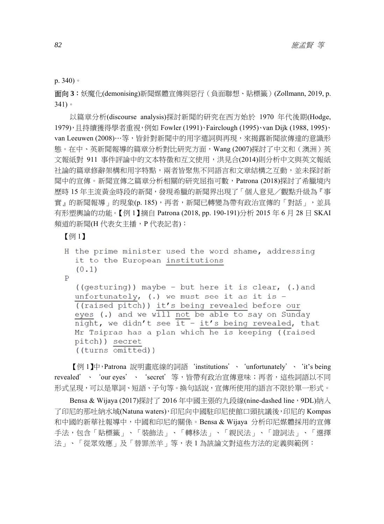p. 340)。

面向 **3**:妖魔化(demonising)新聞媒體宣傳與惡行(負面聯想、貼標籤)(Zollmann, 2019, p. 341)。

以篇章分析(discourse analysis)探討新聞的研究在西方始於 1970 年代後期(Hodge, 1979), 日持續獲得學者重視, 例如 Fowler (1991)、Fairclough (1995)、van Dijk (1988, 1995)、 van Leeuwen (2008)…等,皆針對新聞中的用字遣詞與再現,來揭露新聞欲傳達的意識形 態。在中、英新聞報導的篇章分析對比研究方面,Wang (2007)探討了中文和(澳洲)英 文報紙對 911 事件評論中的文本特徵和互文使用,洪見合(2014)則分析中文與英文報紙 社論的篇章修辭架構和用字特點,兩者皆聚焦不同語言和文章結構之互動,並未探討新 聞中的宣傳。新聞宣傳之篇章分析相關的研究屈指可數,Patrona (2018)探討了希臘境內 歷時 15 年主流黃金時段的新聞,發現希臘的新聞界出現了「個人意見/觀點升級為『事 實」的新聞報導」的現象(p.185),再者,新聞已轉變為帶有政治宣傳的「對話」,並具 有形塑輿論的功能。【例 1】摘自 Patrona (2018, pp. 190-191)分析 2015 年 6 月 28 日 SKAI 頻道的新聞(H 代表女主播, P 代表記者):

【例 1】

```
H the prime minister used the word shame, addressing
it to the European institutions
(0.1)\mathbf{P}((gesturing)) maybe - but here it is clear, (.) and
unfortunately, (.) we must see it as it is -
((raised pitch)) it's being revealed before our
eyes (.) and we will not be able to say on Sunday
night, we didn't see it - it's being revealed, that
Mr Tsipras has a plan which he is keeping ((raised
pitch)) secret
((turns omitted))
```
【例 1】中,Patrona 說明畫底線的詞語'institutions'、'unfortunately'、'it's being revealed'、 'our eyes'、 'secret' 等,皆帶有政治宣傳意味;再者,這些詞語以不同 形式呈現,可以是單詞、短語、子句等。換句話說,宣傳所使用的語言不限於單一形式。

Bensa & Wijaya (2017)探討了 2016 年中國主張的九段線(nine-dashed line, 9DL)納入 了印尼的那吐納水域(Natuna waters),印尼向中國駐印尼使館口頭抗議後,印尼的 Kompas 和中國的新華社報導中,中國和印尼的關係。Bensa & Wijaya 分析印尼媒體採用的宣傳 手法,包含「貼標籤」、「裝飾法」、「轉移法」、「親民法」、「證詞法」、「選擇 法」、「從眾效應」及「替罪羔羊」等,表 1 為該論文對這些方法的定義與範例: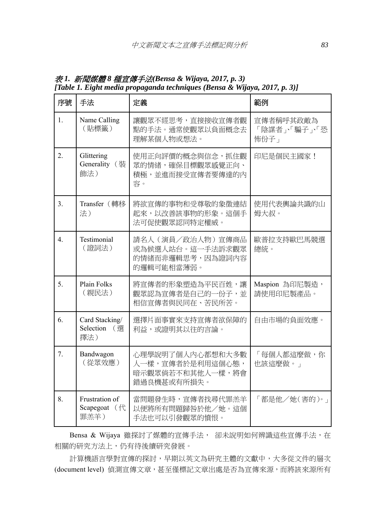| 序號               | 手法                                     | 定義                                                                       | 範例                                |
|------------------|----------------------------------------|--------------------------------------------------------------------------|-----------------------------------|
| 1.               | Name Calling<br>(貼標籤)                  | 讓觀眾不經思考,直接接收宣傳者觀<br>點的手法。通常使觀眾以負面概念去<br>理解某個人物或想法。                       | 宣傳者稱呼其政敵為<br>「陰謀者」、騙子」、恐<br>怖份子 」 |
| $\overline{2}$ . | Glittering<br>Generality (装<br>飾法)     | 使用正向評價的概念與信念,抓住觀<br>眾的情緒,確保目標觀眾感覺正向、<br>積極,並進而接受宣傳者要傳達的內<br>容。           | 印尼是個民主國家!                         |
| 3 <sub>1</sub>   | Transfer (轉移<br>法)                     | 將欲宣傳的事物和受尊敬的象徵連結<br>起來,以改善該事物的形象。這個手<br>法可促使觀眾認同特定權威。                    | 使用代表輿論共識的山<br>姆大叔。                |
| $\overline{4}$ . | Testimonial<br>(證詞法)                   | 請名人 (演員/政治人物) 宣傳商品<br>或為候選人站台。這一手法訴求觀眾<br>的情緒而非邏輯思考,因為證詞內容<br>的邏輯可能相當薄弱。 | 歐普拉支持歐巴馬競選<br>總統。                 |
| 5.               | <b>Plain Folks</b><br>(親民法)            | 將宣傳者的形象塑造為平民百姓,讓<br>觀眾認為宣傳者是自己的一份子,並<br>相信宣傳者與民同在、苦民所苦。                  | Maspion 為印尼製造,<br>請使用印尼製產品。       |
| 6.               | Card Stacking/<br>Selection (選<br>擇法)  | 選擇片面事實來支持宣傳者欲保障的<br>利益,或證明其以往的言論。                                        | 自由市場的負面效應。                        |
| 7.               | Bandwagon<br>(從眾效應)                    | 心理學說明了個人內心都想和大多數<br>人一樣, 宣傳者於是利用這個心態,<br>暗示觀眾倘若不和其他人一樣,將會<br>錯過良機甚或有所損失。 | 「每個人都這麼做,你<br>也該這麼做。」             |
| 8.               | Frustration of<br>Scapegoat (代<br>罪羔羊) | 當問題發生時,宣傳者找尋代罪羔羊<br>以便將所有問題歸咎於他/她。這個<br>手法也可以引發觀眾的憤恨。                    | 「都是他/她(害的)。」                      |

表 *1.* 新聞媒體 *8* 種宣傳手法*(Bensa & Wijaya, 2017, p. 3) [Table 1. Eight media propaganda techniques (Bensa & Wijaya, 2017, p. 3)]* 

Bensa & Wijaya 雖探討了媒體的宣傳手法, 卻未說明如何辨識這些宣傳手法, 在 相關的研究方法上,仍有待後續研究發展。

計算機語言學對宣傳的探討,早期以英文為研究主體的文獻中,大多從文件的層次 (document level) 偵測宣傳文章,甚至僅標記文章出處是否為宣傳來源,而將該來源所有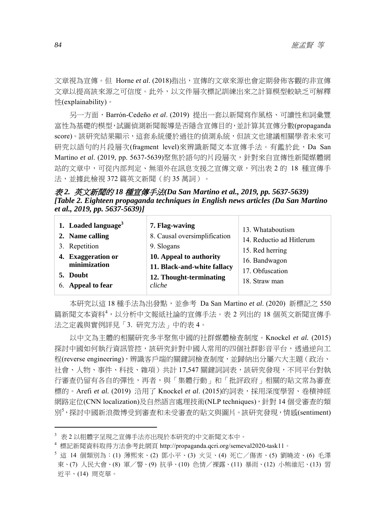文章視為宣傳。但 Horne *et al*. (2018)指出,宣傳的文章來源也會定期發佈客觀的非宣傳 文章以提高該來源之可信度。此外,以文件層次標記訓練出來之計算模型較缺乏可解釋 性(explainability)。

另一方面,Barrón-Cedeño *et al*. (2019) 提出一套以新聞寫作風格、可讀性和詞彙豐 富性為基礎的模型,試圖偵測新聞報導是否隱含宣傳目的,並計算其宣傳分數(propaganda score)。該研究結果顯示,這套系統優於過往的偵測系統,但該文也建議相關學者未來可 研究以語句的片段層次(fragment level)來辨識新聞文本宣傳手法。有鑑於此,Da San Martino *et al.* (2019, pp. 5637-5639)聚焦於語句的片段層次,針對來自宣傳性新聞媒體網 站的文章中,可從內部判定、無須外在訊息支援之宣傳文章,列出表 2 的 18 種宣傳手 法,並據此檢視 372 篇英文新聞 (約 35 萬詞)。

表 *2.* 英文新聞的 *18* 種宣傳手法*(Da San Martino et al., 2019, pp. 5637-5639) [Table 2. Eighteen propaganda techniques in English news articles (Da San Martino et al., 2019, pp. 5637-5639)]* 

| 1. Loaded language <sup>3</sup> | 7. Flag-waving               | 13. Whataboutism         |
|---------------------------------|------------------------------|--------------------------|
| 2. Name calling                 | 8. Causal oversimplification | 14. Reductio ad Hitlerum |
| 3. Repetition                   | 9. Slogans                   | 15. Red herring          |
| 4. Exaggeration or              | 10. Appeal to authority      | 16. Bandwagon            |
| minimization                    | 11. Black-and-white fallacy  | 17. Obfuscation          |
| 5. Doubt                        | 12. Thought-terminating      | 18. Straw man            |
| 6. Appeal to fear               | cliche                       |                          |

本研究以這 18 種手法為出發點,並參考 Da San Martino *et al*. (2020) 新標記之 550 篇新聞文本資料<sup>4</sup>,以分析中文報紙社論的宣傳手法。表 2 列出的 18 個英文新聞宣傳手 法之定義與實例詳見「3. 研究方法」中的表 4。

以中文為主體的相關研究多半聚焦中國的社群媒體檢查制度。Knockel *et al.* (2015) 探討中國如何執行資訊管控,該研究針對中國人常用的四個社群影音平台,透過逆向工 程(reverse engineering),辨識客戶端的關鍵詞檢查制度,並歸納出分屬六大主題(政治、 社會、人物、事件、科技、雜項)共計 17,547 關鍵詞詞表,該研究發現,不同平台對執 行審查仍留有各自的彈性,再者,與「集體行動」和「批評政府」相關的貼文常為審查 標的。Arefi *et al.* (2019) 沿用了 Knockel *et al*. (2015)的詞表,採用深度學習、卷積神經 網路定位(CNN localization)及自然語言處理技術(NLP techniques),針對 14 個受審查的類 別<sup>5</sup> ,探討中國新浪微博受到審查和未受審查的貼文與圖片。該研究發現,情感(sentiment)

<sup>3</sup> 表 2 以粗體字呈現之宣傳手法亦出現於本研究的中文新聞文本中。

<sup>4</sup> 標記新聞資料取得方法參考此網頁 http://propaganda.qcri.org/semeval2020-task11。

 $^5$  這 14 個類別為:(1) 薄熙來、(2) 鄧小平、(3) 火災、(4) 死亡/傷害、(5) 劉曉波、(6) 毛澤 東、(7) 人民大會、(8) 軍/警、(9) 抗爭、(10) 色情/裸露、(11) 暴雨、(12) 小熊維尼、(13) 習 近平、(14) 周克華。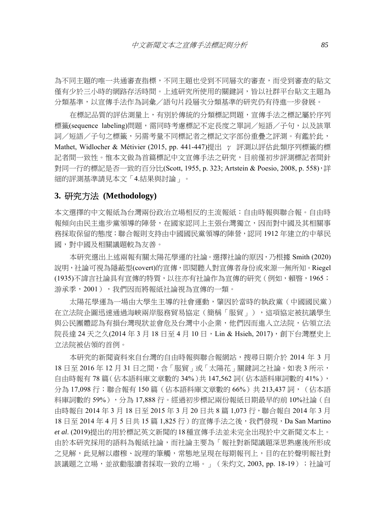為不同主題的唯一共通審查指標,不同主題也受到不同層次的審查,而受到審查的貼文 僅有少於三小時的網路存活時間。上述研究所使用的關鍵詞,皆以社群平台貼文主題為 分類基準,以宣傳手法作為詞彙/語句片段層次分類基準的研究仍有待進一步發展。

在標記品質的評估測量上,有別於傳統的分類標記問題,宣傳手法之標記屬於序列 標籤(sequence labeling)問題,需同時考慮標記不定長度之單詞/短語/子句,以及該單 詞/短語/子句之標籤,另需考量不同標記者之標記文字部份重疊之評測。有鑑於此, Mathet, Widlocher & Métivier (2015, pp. 441-447)提出 γ 評測以評估此類序列標籤的標 記者間一致性。惟本文做為首篇標記中文宣傳手法之研究,目前僅初步評測標記者間針 對同一行的標記是否一致的百分比(Scott, 1955, p. 323; Artstein & Poesio, 2008, p. 558),詳 細的評測基準請見本文「4.結果與討論」。

#### **3.** 研究方法 **(Methodology)**

本文選擇的中文報紙為台灣兩份政治立場相反的主流報紙:自由時報與聯合報。自由時 報傾向由民主進步黨領導的陣營,在國家認同上主張台灣獨立,因而對中國及其相關事 務採取保留的態度;聯合報則支持由中國國民黨領導的陣營,認同 1912 年建立的中華民 國,對中國及相關議題較為友善。

本研究選出上述兩報有關太陽花學運的社論。選擇社論的原因,乃根據 Smith (2020) 說明,社論可視為隱蔽型(covert)的宣傳,即閱聽人對宣傳者身份或來源一無所知。Riegel (1935)不諱言社論具有宣傳的特質,以往亦有社論作為宣傳的研究(例如,賴暋,1965; 游承季,2001),我們因而將報紙社論視為宣傳的一類。

太陽花學運為一場由大學生主導的社會運動,肇因於當時的執政黨(中國國民黨) 在立法院企圖迅速通海峽兩岸服務貿易協定(簡稱「服貿」),這項協定被抗議學生 與公民團體認為有損台灣現狀並會危及台灣中小企業,他們因而進入立法院,佔領立法 院長達 24 天之久(2014年3月18日至4月10日,Lin & Hsieh, 2017),創下台灣歷史上 立法院被佔領的首例。

本研究的新聞資料來自台灣的自由時報與聯合報網站,搜尋日期介於 2014 年 3 月 18 日至 2016 年 12 月 31 日之間,含「服貿」或「太陽花」關鍵詞之社論。如表 3 所示, 自由時報有 78 篇(佔本語料庫文章數的 34%)共 147,562 詞(佔本語料庫詞數的 41%), 分為 17,098 行;聯合報有 150 篇 (佔本語料庫文章數的 66%) 共 213,437 詞, (佔本語 料庫詞數的 59%),分為 17,888 行。經過初步標記兩份報紙日期最早的前 10%社論(自 由時報自 2014 年 3 月 18 日至 2015 年 3 月 20 日共 8 篇 1,073 行,聯合報自 2014 年 3 月 18 日至 2014 年 4 月 5 日共 15 篇 1,825 行)的宣傳手法之後,我們發現, Da San Martino *et al*. (2019)提出的用於標記英文新聞的18種宣傳手法並未完全出現於中文新聞文本上。 由於本研究採用的語料為報紙社論,而社論主要為「報社對新聞議題深思熟慮後所形成 之見解,此見解以肅穆、說理的筆觸,常態地呈現在每期報刊上,目的在於聲明報社對 該議題之立場,並欲勸服讀者採取一致的立場。」(朱灼文, 2003, pp. 18-19); 社論可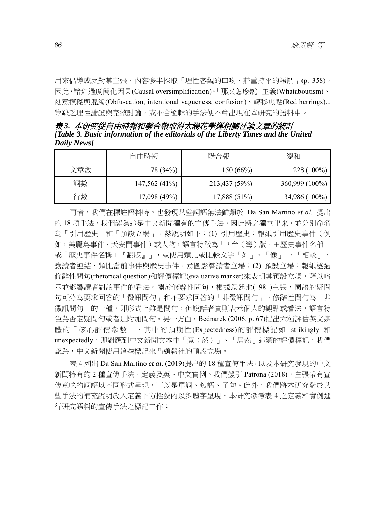用來倡導或反對某主張,內容多半採取「理性客觀的口吻、莊重持平的語調」(p. 358), 因此,諸如過度簡化因果(Causal oversimplification)、「那又怎麼說」主義(Whataboutism)、 刻意模糊與混淆(Obfuscation, intentional vagueness, confusion)、轉移焦點(Red herrings)... 等缺乏理性論證與完整討論,或不合邏輯的手法便不會出現在本研究的語料中。

表 *3.* 本研究從自由時報和聯合報取得太陽花學運相關社論文章的統計 *[Table 3. Basic information of the editorials of the Liberty Times and the United Daily News]* 

|     | 自由時報            | 聯合報            | 總和             |
|-----|-----------------|----------------|----------------|
| 文章數 | 78 (34%)        | 150(66%)       | $228(100\%)$   |
| 詞數  | $147,562(41\%)$ | 213,437 (59%)  | 360,999 (100%) |
| 行數  | 17,098(49%)     | $17,888(51\%)$ | 34,986 (100%)  |

再者,我們在標註語料時,也發現某些詞語無法歸類於 Da San Martino *et al*. 提出 的 18 項手法,我們認為這是中文新聞獨有的宣傳手法,因此將之獨立出來,並分別命名 為「引用歷史」和「預設立場」,茲說明如下:(1) 引用歷史:報紙引用歷史事件(例 如,美麗島事件、天安門事件)或人物,語言特徵為「『台(灣)版』+歷史事件名稱」 或「歷史事件名稱+『翻版』」,或使用類比或比較文字「如」、「像」、「相較」, 讓讀者連結、類比當前事件與歷史事件,意圖影響讀者立場;(2) 預設立場:報紙透過 修辭性問句(rhetorical question)和評價標記(evaluative marker)來表明其預設立場,藉以暗 示並影響讀者對該事件的看法。關於修辭性問句,根據湯廷池(1981)主張,國語的疑問 句可分為要求回答的「徵訊問句」和不要求回答的「非徵訊問句」,修辭性問句為「非 徵訊問句」的一種,即形式上雖是問句,但說話者實則表示個人的觀點或看法,語言特 色為否定疑問句或者是附加問句。另一方面,Bednarek (2006, p. 67)提出六種評估英文媒 體的「核心評價參數」,其中的預期性(Expectedness)的評價標記如 strikingly 和 unexpectedly,即對應到中文新聞文本中「竟(然)」、「居然」這類的評價標記,我們 認為,中文新聞使用這些標記來凸顯報社的預設立場。

表 4 列出 Da San Martino *et al*. (2019)提出的 18 種宣傳手法,以及本研究發現的中文 新聞特有的 2 種宣傳手法、定義及英、中文實例。我們援引 Patrona (2018),主張帶有宣 傳意味的詞語以不同形式呈現,可以是單詞、短語、子句。此外,我們將本研究對於某 些手法的補充說明放入定義下方括號內以斜體字呈現。本研究參考表 4 之定義和實例進 行研究語料的宣傳手法之標記工作: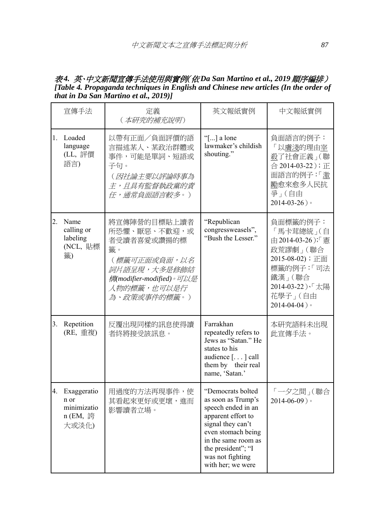#### 表 *4.* 英、中文新聞宣傳手法使用與實例(依 *Da San Martino et al., 2019* 順序編排) *[Table 4. Propaganda techniques in English and Chinese new articles (In the order of that in Da San Martino et al., 2019)]*

|         | 宣傳手法                                                    | 定義<br>(本研究的補充說明)                                                                                                                            | 英文報紙實例                                                                                                                                                                                                               | 中文報紙實例                                                                                                                                               |
|---------|---------------------------------------------------------|---------------------------------------------------------------------------------------------------------------------------------------------|----------------------------------------------------------------------------------------------------------------------------------------------------------------------------------------------------------------------|------------------------------------------------------------------------------------------------------------------------------------------------------|
|         | 1. Loaded<br>language<br>(LL, 評價<br>語言)                 | 以帶有正面/負面評價的語<br>言描述某人、某政治群體或<br>事件,可能是單詞、短語或<br>子句。<br>(因社論主要以評論時事為<br><i>主,且具有監督執政黨的責</i><br>任,通常負面語言較多。)                                  | "[] a lone<br>lawmaker's childish<br>shouting."                                                                                                                                                                      | 負面語言的例子:<br>「以膚淺的理由室<br>殺了社會正義」(聯<br>合 2014-03-22); 正<br>面語言的例子:「激<br>勵愈來愈多人民抗<br>爭」(自由<br>$2014 - 03 - 26$ )                                        |
| $2_{-}$ | Name<br>calling or<br>labeling<br>(NCL, 貼標<br>籤)        | 將宣傳陣營的目標貼上讀者<br>所恐懼、厭惡、不歡迎,或<br>者受讀者喜愛或讚揚的標<br>籤。<br>(標籤可正面或負面,以名<br>詞片語呈現,大多是修飾結<br>構modifier-modified)。可以是<br>人物的標籤,也可以是行<br>為、政策或事件的標籤。) | "Republican<br>congressweasels",<br>"Bush the Lesser."                                                                                                                                                               | 負面標籤的例子:<br>「馬卡茸總統」(自<br>由 2014-03-26);「 憲<br>政荒謬劇」(聯合<br>2015-08-02); 正面<br>標籤的例子:「司法<br>鐵漢 (聯合<br>2014-03-22)、「太陽<br>花學子」(自由<br>$2014 - 04 - 04$ ) |
| 3.      | Repetition<br>(RE, 重複)                                  | 反覆出現同樣的訊息使得讀<br>者終將接受該訊息。                                                                                                                   | Farrakhan<br>repeatedly refers to<br>Jews as "Satan." He<br>states to his<br>audience [] call<br>them by their real<br>name, 'Satan.'                                                                                | 本研究語料未出現<br>此宣傳手法。                                                                                                                                   |
| 4.      | Exaggeratio<br>n or<br>minimizatio<br>n (EM, 誇<br>大或淡化) | 用過度的方法再現事件,使<br>其看起來更好或更壞,進而<br>影響讀者立場。                                                                                                     | "Democrats bolted<br>as soon as Trump's<br>speech ended in an<br>apparent effort to<br>signal they can't<br>even stomach being<br>in the same room as<br>the president"; "I<br>was not fighting<br>with her; we were | 「一夕之間」(聯合<br>$2014 - 06 - 09$ )                                                                                                                      |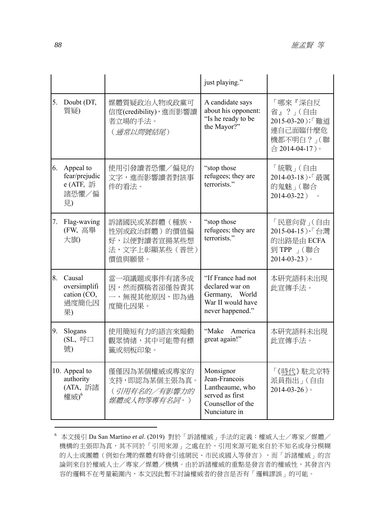|    |                                                            |                                                                         | just playing."                                                                                         |                                                                                   |
|----|------------------------------------------------------------|-------------------------------------------------------------------------|--------------------------------------------------------------------------------------------------------|-----------------------------------------------------------------------------------|
| 5. | Doubt (DT,<br>質疑)                                          | 媒體質疑政治人物或政黨可<br>信度(credibility), 進而影響讀<br>者立場的手法。<br>(通常以問號結尾)          | A candidate says<br>about his opponent:<br>"Is he ready to be<br>the Mayor?"                           | 「哪來『深自反<br>省』?」(自由<br>2015-03-20);「難道<br>連自己面臨什麼危<br>機都不明白 ?」(聯<br>合 2014-04-17)。 |
| 6. | Appeal to<br>fear/prejudic<br>e (ATF, 訴<br>諸恐懼/偏<br>見)     | 使用引發讀者恐懼/偏見的<br>文字,進而影響讀者對該事<br>件的看法。                                   | "stop those"<br>refugees; they are<br>terrorists."                                                     | 「統戰」(自由<br>2014-03-18)、「最厲<br>的鬼魅」(聯合<br>2014-03-22)<br>$\circ$                   |
| 7. | Flag-waving<br>(FW, 高舉<br>大旗)                              | 訴諸國民或某群體(種族、<br>性別或政治群體)的價值偏<br>好,以便對讀者宣揚某些想<br>法,文字上彰顯某些(普世)<br>價值與願景。 | "stop those"<br>refugees; they are<br>terrorists."                                                     | 「民意向背」(自由<br>2015-04-15)、「台灣<br>的出路是由 ECFA<br>到 TPP 」(聯合<br>$2014 - 03 - 23$ )    |
| 8. | Causal<br>oversimplifi<br>cation (CO,<br>過度簡化因<br>果)       | 當一項議題或事件有諸多成<br>因,然而撰稿者卻僅咎責其<br>一,無視其他原因,即為過<br>度簡化因果。                  | "If France had not<br>declared war on<br>Germany, World<br>War II would have<br>never happened."       | 本研究語料未出現<br>此宣傳手法。                                                                |
| 9. | Slogans<br>(SL, 呼口<br>號)                                   | 使用簡短有力的語言來煽動<br>觀眾情緒,其中可能帶有標<br>籤或刻板印象。                                 | "Make America<br>great again!"                                                                         | 本研究語料未出現<br>此宣傳手法。                                                                |
|    | 10. Appeal to<br>authority<br>(ATA, 訴諸<br>權威) <sup>6</sup> | 僅僅因為某個權威或專家的<br>支持,即認為某個主張為真。<br>(引用有名的/有影響力的<br>媒體或人物等專有名詞。)           | Monsignor<br>Jean-Francois<br>Lantheaume, who<br>served as first<br>Counsellor of the<br>Nunciature in | 「《時代》駐北京特<br>派員指出」(自由<br>$2014 - 03 - 26$ )                                       |

<sup>6</sup> 本文援引 Da San Martino *et al*. (2019) 對於「訴諸權威」手法的定義:權威人士/專家/媒體/ 機構的主張即為真,其不同於「引用來源」之處在於,引用來源可能來自於不知名或身分模糊 的人士或團體(例如台灣的媒體有時會引述網民、市民或國人等發言),而「訴諸權威」的言 論則來自於權威人士/專家/媒體/機構。由於訴諸權威的重點是發言者的權威性,其發言內 容的邏輯不在考量範圍內,本文因此暫不討論權威者的發言是否有「邏輯謬誤」的可能。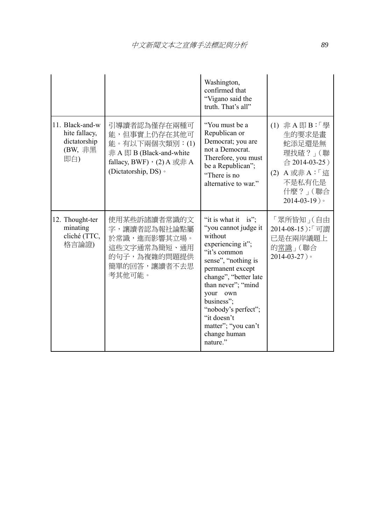|                                                                    |                                                                                                                                   | Washington,<br>confirmed that<br>"Vigano said the<br>truth. That's all"                                                                                                                                                                                                                                     |                                                                                                                         |
|--------------------------------------------------------------------|-----------------------------------------------------------------------------------------------------------------------------------|-------------------------------------------------------------------------------------------------------------------------------------------------------------------------------------------------------------------------------------------------------------------------------------------------------------|-------------------------------------------------------------------------------------------------------------------------|
| 11. Black-and-w<br>hite fallacy,<br>dictatorship<br>(BW, 非黑<br>即白) | 引導讀者認為僅存在兩種可<br>能,但事實上仍存在其他可<br>能。有以下兩個次類別:(1)<br>非 A 即 B (Black-and-white<br>fallacy, BWF), $(2)$ A 或非 A<br>(Dictatorship, DS) · | "You must be a<br>Republican or<br>Democrat; you are<br>not a Democrat.<br>Therefore, you must<br>be a Republican";<br>"There is no<br>alternative to war."                                                                                                                                                 | (1) 非A即B:「學<br>生的要求是畫<br>蛇添足還是無<br>理找碴? (聯<br>合 2014-03-25)<br>(2) A 或非 A:「這<br>不是私有化是<br>什麼?」(聯合<br>$2014 - 03 - 19$ ) |
| 12. Thought-ter<br>minating<br>cliché (TTC,<br>格言論證)               | 使用某些訴諸讀者常識的文<br>字,讓讀者認為報社論點屬<br>於常識,進而影響其立場。<br>這些文字通常為簡短、通用<br>的句子,為複雜的問題提供<br>簡單的回答,讓讀者不去思<br>考其他可能。                            | "it is what it is";<br>"you cannot judge it<br>without<br>experiencing it";<br>"it's common<br>sense", "nothing is<br>permanent except<br>change", "better late<br>than never"; "mind<br>your<br>own<br>business";<br>"nobody's perfect";<br>"it doesn't<br>matter"; "you can't<br>change human<br>nature." | 「眾所皆知 」(自由<br>2014-08-15);「可謂<br>已是在兩岸議題上<br>的常識 (聯合<br>$2014 - 03 - 27$ )                                              |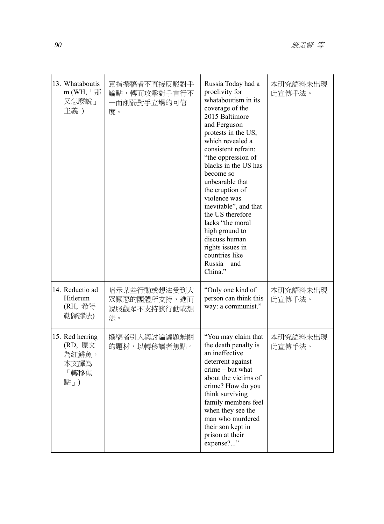| 13. Whataboutis<br>m (WH, $\ulcorner \mathcal{F}$ )<br>又怎麼說」<br>主義) | 意指撰稿者不直接反駁對手<br>論點,轉而攻擊對手言行不<br>一而削弱對手立場的可信<br>度。  | Russia Today had a<br>proclivity for<br>whataboutism in its<br>coverage of the<br>2015 Baltimore<br>and Ferguson<br>protests in the US,<br>which revealed a<br>consistent refrain:<br>"the oppression of<br>blacks in the US has<br>become so<br>unbearable that<br>the eruption of<br>violence was<br>inevitable", and that<br>the US therefore<br>lacks "the moral<br>high ground to<br>discuss human<br>rights issues in<br>countries like<br>Russia<br>and<br>China." | 本研究語料未出現<br>此宣傳手法。 |
|---------------------------------------------------------------------|----------------------------------------------------|---------------------------------------------------------------------------------------------------------------------------------------------------------------------------------------------------------------------------------------------------------------------------------------------------------------------------------------------------------------------------------------------------------------------------------------------------------------------------|--------------------|
| 14. Reductio ad<br>Hitlerum<br>(RH, 希特<br>勒歸謬法)                     | 暗示某些行動或想法受到大<br>眾厭惡的團體所支持,進而<br>說服觀眾不支持該行動或想<br>法。 | "Only one kind of<br>person can think this<br>way: a communist."                                                                                                                                                                                                                                                                                                                                                                                                          | 本研究語料未出現<br>此宣傳手法。 |
| 15. Red herring<br>(RD, 原文<br>為紅鯡魚,<br>本文譯為<br>轉移焦<br>點」)           | 撰稿者引入與討論議題無關<br>的題材,以轉移讀者焦點。                       | "You may claim that<br>the death penalty is<br>an ineffective<br>deterrent against<br>crime – but what<br>about the victims of<br>crime? How do you<br>think surviving<br>family members feel<br>when they see the<br>man who murdered<br>their son kept in<br>prison at their<br>expense?"                                                                                                                                                                               | 本研究語料未出現<br>此宣傳手法。 |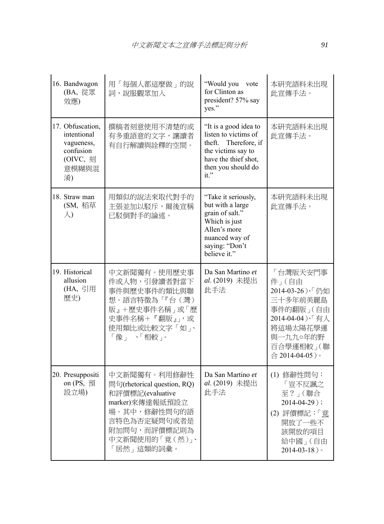| 16. Bandwagon<br>(BA, 從眾<br>效應)                                                       | 用「每個人都這麼做」的說<br>詞,說服觀眾加入                                                                                                                                            | "Would you<br>vote<br>for Clinton as<br>president? 57% say<br>yes."                                                                                  | 本研究語料未出現<br>此宣傳手法。                                                                                                                                  |
|---------------------------------------------------------------------------------------|---------------------------------------------------------------------------------------------------------------------------------------------------------------------|------------------------------------------------------------------------------------------------------------------------------------------------------|-----------------------------------------------------------------------------------------------------------------------------------------------------|
| 17. Obfuscation,<br>intentional<br>vagueness,<br>confusion<br>(OIVC, 刻<br>意模糊與混<br>淆) | 撰稿者刻意使用不清楚的或<br>有多重語意的文字,讓讀者<br>有自行解讀與詮釋的空間。                                                                                                                        | "It is a good idea to<br>listen to victims of<br>Therefore, if<br>theft.<br>the victims say to<br>have the thief shot,<br>then you should do<br>it." | 本研究語料未出現<br>此宣傳手法。                                                                                                                                  |
| 18. Straw man<br>(SM, 稻草<br>$\lambda$                                                 | 用類似的說法來取代對手的<br>主張並加以駁斥,爾後宣稱<br>已駁倒對手的論述。                                                                                                                           | "Take it seriously,<br>but with a large<br>grain of salt."<br>Which is just<br>Allen's more<br>nuanced way of<br>saying: "Don't<br>believe it."      | 本研究語料未出現<br>此宣傳手法。                                                                                                                                  |
| 19. Historical<br>allusion<br>(HA, 引用<br>歷史)                                          | 中文新聞獨有。使用歷史事<br>件或人物,引發讀者對當下<br>事件與歷史事件的類比與聯<br>想。語言特徵為「『台(灣)<br>版』+歷史事件名稱」或「歷<br>史事件名稱+『翻版』」,或<br>使用類比或比較文字「如」、<br>「像」 、「相較」。                                      | Da San Martino et<br>al. (2019) 未提出<br>此手法                                                                                                           | 「台灣版天安門事<br>件」(自由<br>2014-03-26)、「仍如<br>三十多年前美麗島<br>事件的翻版」(自由<br>2014-04-04)、「有人<br>將這場太陽花學運<br>與一九九○年的野<br>百合學運相較」(聯<br>$\hat{=} 2014 - 04 - 05$ ) |
| 20. Presuppositi<br>on $(PS, \overline{f})$<br>設立場)                                   | 中文新聞獨有。利用修辭性<br>問句(rhetorical question, RQ)<br>和評價標記(evaluative<br>marker) 來傳達報紙預設立<br>場。其中,修辭性問句的語<br>言特色為否定疑問句或者是<br>附加問句,而評價標記則為<br>中文新聞使用的「竟(然)」、<br>「居然」這類的詞彙。 | Da San Martino et<br>al. (2019) 未提出<br>此手法                                                                                                           | (1) 修辭性問句:<br>「豈不反諷之<br>至?」(聯合<br>$2014 - 04 - 29$ ;<br>(2) 評價標記:「竟<br>開放了一些不<br>該開放的項目<br>給中國」(自由<br>$2014 - 03 - 18$ )                            |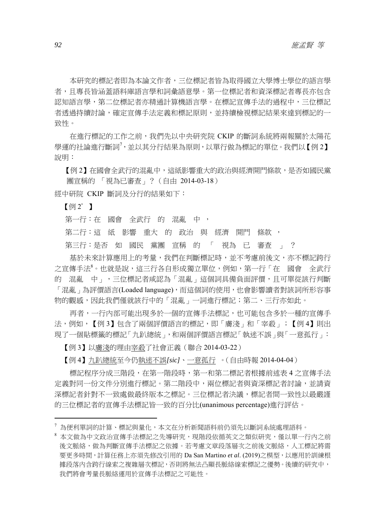本研究的標記者即為本論文作者,三位標記者皆為取得國立大學博士學位的語言學 者,且專長皆涵蓋語料庫語言學和詞彙語意學。第一位標記者和資深標記者專長亦包含 認知語言學,第二位標記者亦精通計算機語言學。在標記宣傳手法的過程中,三位標記 者透過持續討論,確定宣傳手法定義和標記原則,並持續檢視標記結果來達到標記的一 致性。

在進行標記的工作之前,我們先以中央研究院 CKIP 的斷詞系統將兩報關於太陽花 學運的社論進行斷詞<sup>7,</sup>並以其分行結果為原則,以單行做為標記的單位。我們以【例 2】 說明:

【例 2】在國會全武行的混亂中,這紙影響重大的政治與經濟開門條款,是否如國民黨 團宣稱的 「視為已審查」?(自由 2014-03-18)

經中研院 CKIP 斷詞及分行的結果如下:

【例 2'】

第一行: 在 國會 全武行 的 混亂 中,

第二行:這 紙 影響 重大 的 政治 與 經濟 開門 條款,

第三行:是否 如 國民 黨團 宣稱 的 「 視為 已 審查 」 ?

基於未來計算應用上的考量,我們在判斷標記時,並不考慮前後文,亦不標記跨行 之宣傳手法<sup>8</sup>。也就是說,這三行各自形成獨立單位,例如,第一行「在 國會 全武行 的 混亂 中」,三位標記者咸認為「混亂」這個詞具備負面評價,且可單從該行判斷 「混亂」為評價語言(Loaded language),而這個詞的使用,也會影響讀者對該詞所形容事 物的觀感,因此我們僅就該行中的「混亂」一詞進行標記;第二、三行亦如此。

再者,一行內部可能出現多於一個的宣傳手法標記,也可能包含多於一種的宣傳手 法,例如,【例 3】包含了兩個評價語言的標記,即「膚淺」和「宰殺」;【例 4】 則出 現了一個貼標籤的標記「九趴總統」,和兩個評價語言標記「執迷不誤」與「一意孤行」:

【例 3】以膚淺的理由宰殺了社會正義(聯合 2014-03-22)

【例 4】九趴總統至今仍執迷不誤*[sic]*、一意孤行 。(自由時報 2014-04-04)

標記程序分成三階段,在第一階段時,第一和第二標記者根據前述表 4 之宣傳手法 定義對同一份文件分別進行標記。第二階段中,兩位標記者與資深標記者討論,並請資 深標記者針對不一致處做最終版本之標記。三位標記者決議,標記者間一致性以最嚴謹 的三位標記者的宣傳手法標記皆一致的百分比(unanimous percentage)進行評估。

 $^7$ 為便利單詞的計算、標記與量化,本文在分析新聞語料前仍須先以斷詞系統處理語料。

<sup>8</sup> 本文做為中文政治宣傳手法標記之先導研究,現階段依循英文之類似研究,僅以單一行內之前 後文脈絡,做為判斷宣傳手法標記之依據。若考慮文章段落層次之前後文脈絡,人工標記將需 要更多時間,計算任務上亦須先修改引用的 Da San Martino *et al*. (2019)之模型,以應用於訓練根 據段落內含跨行線索之複雜層次標記,否則將無法凸顯長脈絡線索標記之優勢。後續的研究中, 我們將會考量長脈絡運用於宣傳手法標記之可能性。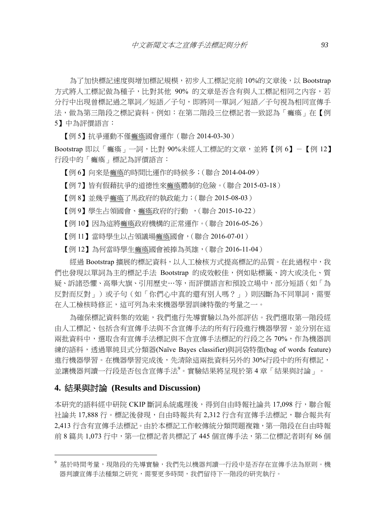為了加快標記速度與增加標記規模,初步人工標記完前 10%的文章後,以 Bootstrap 方式將人工標記做為種子,比對其他 90% 的文章是否含有與人工標記相同之內容,若 分行中出現曾標記過之單詞/短語/子句,即將同一單詞/短語/子句視為相同宣傳手 法,做為第三階段之標記資料。例如:在第二階段三位標記者一致認為「癱瘓」在【例 5】中為評價語言:

【例 5】抗爭運動不僅癱瘓國會運作(聯合 2014-03-30)

Bootstrap 即以「癱瘓」一詞,比對 90%未經人工標記的文章,並將【例 6】-【例 12】 行段中的「癱瘓」標記為評價語言:

【例 6】向來是癱瘓的時間比運作的時候多;(聯合 2014-04-09)

【例 7】皆有假藉抗爭的道德性來癱瘓體制的危險。(聯合 2015-03-18)

【例 8】並幾乎癱瘓了馬政府的執政能力;(聯合 2015-08-03)

【例 9】學生占領國會、癱瘓政府的行動 ,(聯合 2015-10-22)

【例 10】因為這將癱瘓政府機構的正常運作。(聯合 2016-05-26)

【例 11】當時學生以占領議場癱瘓國會,(聯合 2016-07-01)

【例 12】為何當時學生癱瘓國會被捧為英雄,(聯合 2016-11-04)

經過 Bootstrap 擴展的標記資料,以人工檢核方式提高標記的品質。在此過程中,我 們也發現以單詞為主的標記手法 Bootstrap 的成效較佳,例如貼標籤、誇大或淡化、質 疑、訴諸恐懼、高舉大旗、引用歷史…等,而評價語言和預設立場中,部分短語(如「為 反對而反對」)或子句(如「你們心中真的還有別人嗎?」)則因斷為不同單詞,需要 在人工檢核時修正,這可列為未來機器學習訓練特徵的考量之一。

為確保標記資料集的效能,我們進行先導實驗以為外部評估。我們選取第一階段經 由人工標記、包括含有宣傳手法與不含宣傳手法的所有行段進行機器學習,並分別在這 兩批資料中,選取含有宣傳手法標記與不含宣傳手法標記的行段之各 70%,作為機器訓 練的語料,透過單純貝式分類器(Naïve Bayes classifier)與詞袋特徵(bag of words feature) 進行機器學習。在機器學習完成後,先清除這兩批資料另外的 30%行段中的所有標記, 並讓機器判讀一行段是否包含宣傳手法<sup>9</sup>。實驗結果將呈現於第4章「結果與討論」。

#### **4.** 結果與討論 **(Results and Discussion)**

本研究的語料經中研院 CKIP 斷詞系統處理後,得到自由時報社論共 17,098 行,聯合報 社論共 17,888 行。標記後發現,自由時報共有 2,312 行含有宣傳手法標記,聯合報共有 2,413 行含有宣傳手法標記。由於本標記工作較傳統分類問題複雜,第一階段在自由時報 前 8 篇共 1,073 行中,第一位標記者共標記了 445 個宣傳手法,第二位標記者則有 86 個

<sup>。&</sup>lt;br>19 基於時間考量,現階段的先導實驗,我們先以機器判讀一行段中是否存在宣傳手法為原則。機 器判讀宣傳手法種類之研究,需要更多時間,我們留待下一階段的研究執行。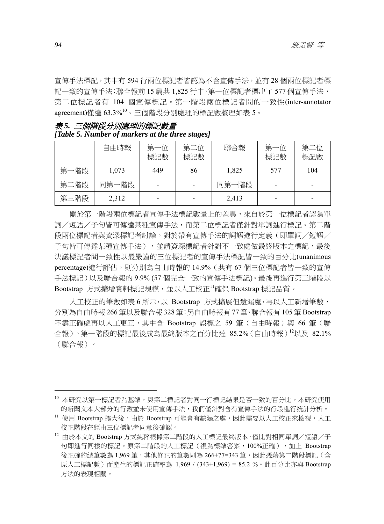宣傳手法標記,其中有 594 行兩位標記者皆認為不含宣傳手法,並有 28 個兩位標記者標 記一致的宣傳手法;聯合報前 15 篇共 1,825 行中,第一位標記者標出了 577 個宣傳手法, 第二位標記者有 104 個宣傳標記。第一階段兩位標記者間的一致性(inter-annotator agreement)僅達 63.3%<sup>10</sup>。三個階段分別處理的標記數整理如表 5。

表 *5.* 三個階段分別處理的標記數量 *[Table 5. Number of markers at the three stages]* 

|      | 自由時報  | 第一位<br>標記數 | 第二位<br>標記數 | 聯合報   | 第一位<br>標記數 | 第二位<br>標記數 |
|------|-------|------------|------------|-------|------------|------------|
| 第一階段 | 1,073 | 449        | 86         | 1,825 | 577        | 104        |
| 第二階段 | 同第一階段 |            |            | 同第一階段 |            |            |
| 第三階段 | 2,312 |            |            | 2,413 |            |            |

關於第一階段兩位標記者宣傳手法標記數量上的差異,來自於第一位標記者認為單 詞/短語/子句皆可傳達某種宣傳手法,而第二位標記者僅針對單詞進行標記。第二階 段兩位標記者與資深標記者討論,對於帶有宣傳手法的詞語進行定義(即單詞/短語/ 子句皆可傳達某種宣傳手法),並請資深標記者針對不一致處做最終版本之標記,最後 決議標記者間一致性以最嚴謹的三位標記者的宣傳手法標記皆一致的百分比(unanimous percentage)進行評估,則分別為自由時報的 14.9% (共有 67 個三位標記者皆一致的宣傳 手法標記)以及聯合報的 9.9% (57 個完全一致的宣傳手法標記)。最後再進行第三階段以 Bootstrap 方式擴增資料標記規模,並以人工校正<sup>11</sup>確保 Bootstrap 標記品質。

人工校正的筆數如表 6 所示,以 Bootstrap 方式擴展但遺漏處,再以人工新增筆數, 分別為自由時報 266 筆以及聯合報 328 筆;另自由時報有 77 筆、聯合報有 105 筆 Bootstrap 不盡正確處再以人工更正,其中含 Bootstrap 誤標之 59 筆 (自由時報)與 66 筆 (聯 合報)。第一階段的標記最後成為最終版本之百分比達 85.2%(自由時報)<sup>12</sup>以及 82.1% (聯合報)。

<sup>10</sup> 本研究以第一標記者為基準,與第二標記者對同一行標記結果是否一致的百分比。本研究使用 的新聞文本大部分的行數並未使用宣傳手法,我們僅針對含有宣傳手法的行段進行統計分析。

<sup>11</sup> 使用 Bootstrap 擴大後,由於 Bootstrap 可能會有缺漏之處,因此需要以人工校正來檢視,人工 校正階段在經由三位標記者同意後確認。

 $^{12}$  由於本文的 Bootstrap 方式純粹根據第二階段的人工標記最終版本,僅比對相同單詞/短語/子 句即進行同樣的標記。原第二階段的人工標記(視為標準答案,100%正確),加上 Bootstrap 後正確的總筆數為 1,969 筆,其他修正的筆數則為 266+77=343 筆,因此憑藉第二階段標記(含 原人工標記數)而產生的標記正確率為 1,969 / (343+1,969) = 85.2 %。此百分比亦與 Bootstrap 方法的表現相關。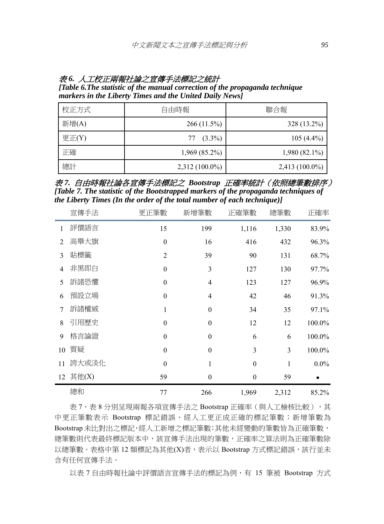### 表 *6.* 人工校正兩報社論之宣傳手法標記之統計 *[Table 6.The statistic of the manual correction of the propaganda technique markers in the Liberty Times and the United Daily News]*

| 校正方式     | 自由時報             | 聯合報              |
|----------|------------------|------------------|
| 新增(A)    | 266(11.5%)       | $328(13.2\%)$    |
| 更正 $(Y)$ | $77(3.3\%)$      | $105(4.4\%)$     |
| 正確       | $1,969(85.2\%)$  | $1,980(82.1\%)$  |
| 總計       | $2,312(100.0\%)$ | $2,413(100.0\%)$ |

表 *7.* 自由時報社論各宣傳手法標記之 *Bootstrap* 正確率統計(依照總筆數排序) *[Table 7. The statistic of the Bootstrapped markers of the propaganda techniques of the Liberty Times (In the order of the total number of each technique)]* 

|                | 宣傳手法     | 更正筆數             | 新增筆數             | 正確筆數             | 總筆數   | 正確率     |
|----------------|----------|------------------|------------------|------------------|-------|---------|
| $\mathbf{1}$   | 評價語言     | 15               | 199              | 1,116            | 1,330 | 83.9%   |
| $\overline{2}$ | 高舉大旗     | $\boldsymbol{0}$ | 16               | 416              | 432   | 96.3%   |
| 3              | 貼標籤      | $\overline{2}$   | 39               | 90               | 131   | 68.7%   |
| 4              | 非黑即白     | $\boldsymbol{0}$ | 3                | 127              | 130   | 97.7%   |
| 5              | 訴諸恐懼     | $\boldsymbol{0}$ | 4                | 123              | 127   | 96.9%   |
| 6              | 預設立場     | $\theta$         | $\overline{4}$   | 42               | 46    | 91.3%   |
| 7              | 訴諸權威     | 1                | $\boldsymbol{0}$ | 34               | 35    | 97.1%   |
| 8              | 引用歷史     | $\boldsymbol{0}$ | $\boldsymbol{0}$ | 12               | 12    | 100.0%  |
| 9              | 格言論證     | $\boldsymbol{0}$ | $\boldsymbol{0}$ | 6                | 6     | 100.0%  |
| 10             | 質疑       | $\theta$         | $\theta$         | 3                | 3     | 100.0%  |
| 11             | 誇大或淡化    | $\boldsymbol{0}$ | 1                | $\boldsymbol{0}$ | 1     | $0.0\%$ |
|                | 12 其他(X) | 59               | $\boldsymbol{0}$ | $\boldsymbol{0}$ | 59    |         |
|                | 總和       | 77               | 266              | 1,969            | 2,312 | 85.2%   |

表 7、表 8 分別呈現兩報各項宣傳手法之 Bootstrap 正確率 (與人工檢核比較),其 中更正筆數表示 Bootstrap 標記錯誤、經人工更正成正確的標記筆數;新增筆數為 Bootstrap 未比對出之標記,經人工新增之標記筆數;其他未經變動的筆數皆為正確筆數, 總筆數則代表最終標記版本中,該宣傳手法出現的筆數,正確率之算法則為正確筆數除 以總筆數。表格中第12 類標記為其他(X)者,表示以 Bootstrap 方式標記錯誤,該行並未 含有任何宣傳手法。

以表 7 自由時報社論中評價語言宣傳手法的標記為例, 有 15 筆被 Bootstrap 方式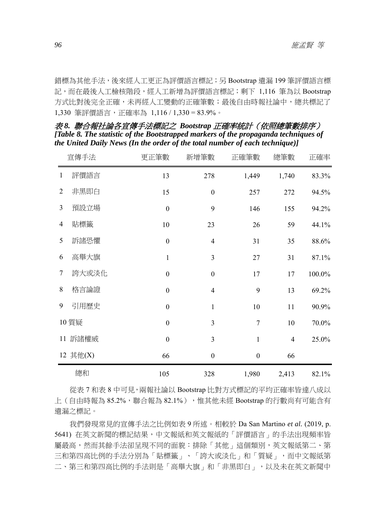錯標為其他手法,後來經人工更正為評價語言標記;另 Bootstrap 遺漏 199 筆評價語言標 記,而在最後人工檢核階段,經人工新增為評價語言標記;剩下 1,116 筆為以 Bootstrap 方式比對後完全正確,未再經人工變動的正確筆數;最後自由時報社論中,總共標記了 1,330 筆評價語言,正確率為 1,116 / 1,330 = 83.9%。

|                | 宣傳手法     | 更正筆數             | 新增筆數                     | 正確筆數             | 總筆數            | 正確率    |
|----------------|----------|------------------|--------------------------|------------------|----------------|--------|
| $\mathbf{1}$   | 評價語言     | 13               | 278                      | 1,449            | 1,740          | 83.3%  |
| $\overline{2}$ | 非黑即白     | 15               | $\boldsymbol{0}$         | 257              | 272            | 94.5%  |
| 3              | 預設立場     | $\boldsymbol{0}$ | 9                        | 146              | 155            | 94.2%  |
| 4              | 貼標籤      | $10\,$           | 23                       | 26               | 59             | 44.1%  |
| 5              | 訴諸恐懼     | $\boldsymbol{0}$ | $\overline{\mathcal{L}}$ | 31               | 35             | 88.6%  |
| 6              | 高舉大旗     | $\mathbf{1}$     | $\overline{3}$           | 27               | 31             | 87.1%  |
| 7              | 誇大或淡化    | $\boldsymbol{0}$ | $\boldsymbol{0}$         | 17               | 17             | 100.0% |
| 8              | 格言論證     | $\boldsymbol{0}$ | $\overline{\mathcal{L}}$ | 9                | 13             | 69.2%  |
| 9              | 引用歷史     | $\boldsymbol{0}$ | $\mathbf{1}$             | 10               | 11             | 90.9%  |
|                | 10 質疑    | $\boldsymbol{0}$ | $\overline{3}$           | $\overline{7}$   | 10             | 70.0%  |
|                | 11 訴諸權威  | $\boldsymbol{0}$ | $\overline{3}$           | $\mathbf{1}$     | $\overline{4}$ | 25.0%  |
|                | 12 其他(X) | 66               | $\boldsymbol{0}$         | $\boldsymbol{0}$ | 66             |        |
|                | 總和       | 105              | 328                      | 1,980            | 2,413          | 82.1%  |

表 *8.* 聯合報社論各宣傳手法標記之 *Bootstrap* 正確率統計(依照總筆數排序) *[Table 8. The statistic of the Bootstrapped markers of the propaganda techniques of the United Daily News (In the order of the total number of each technique)]* 

從表 7 和表 8 中可見,兩報社論以 Bootstrap 比對方式標記的平均正確率皆達八成以 上 (自由時報為 85.2%,聯合報為 82.1%),惟其他未經 Bootstrap 的行數尚有可能含有 遺漏之標記。

我們發現常見的宣傳手法之比例如表 9 所述。相較於 Da San Martino *et al.* (2019, p. 5641) 在英文新聞的標記結果,中文報紙和英文報紙的「評價語言」的手法出現頻率皆 屬最高,然而其餘手法卻呈現不同的面貌:排除「其他」這個類別,英文報紙第二、第 三和第四高比例的手法分別為「貼標籤」、「誇大或淡化」和「質疑」,而中文報紙第 二、第三和第四高比例的手法則是「高舉大旗」和「非黑即白」,以及未在英文新聞中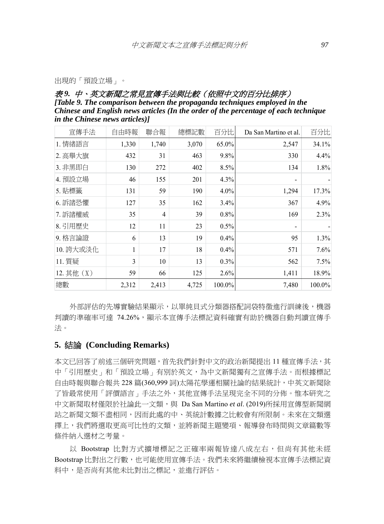#### 出現的「預設立場」。

#### 表 *9.* 中、英文新聞之常見宣傳手法與比較(依照中文的百分比排序) *[Table 9. The comparison between the propaganda techniques employed in the Chinese and English news articles (In the order of the percentage of each technique in the Chinese news articles)]*

| 宣傳手法       | 自由時報  | 聯合報            | 總標記數  | 百分比    | Da San Martino et al. | 百分比    |
|------------|-------|----------------|-------|--------|-----------------------|--------|
| 1. 情緒語言    | 1,330 | 1,740          | 3,070 | 65.0%  | 2,547                 | 34.1%  |
| 2. 高舉大旗    | 432   | 31             | 463   | 9.8%   | 330                   | 4.4%   |
| 3. 非黑即白    | 130   | 272            | 402   | 8.5%   | 134                   | 1.8%   |
| 4. 預設立場    | 46    | 155            | 201   | 4.3%   | $\blacksquare$        |        |
| 5. 貼標籤     | 131   | 59             | 190   | 4.0%   | 1,294                 | 17.3%  |
| 6. 訴諸恐懼    | 127   | 35             | 162   | 3.4%   | 367                   | 4.9%   |
| 7. 訴諸權威    | 35    | $\overline{4}$ | 39    | 0.8%   | 169                   | 2.3%   |
| 8. 引用歷史    | 12    | 11             | 23    | 0.5%   |                       |        |
| 9. 格言論證    | 6     | 13             | 19    | 0.4%   | 95                    | 1.3%   |
| 10. 誇大或淡化  | 1     | 17             | 18    | 0.4%   | 571                   | 7.6%   |
| 11. 質疑     | 3     | 10             | 13    | 0.3%   | 562                   | 7.5%   |
| 12. 其他 (X) | 59    | 66             | 125   | 2.6%   | 1,411                 | 18.9%  |
| 總數         | 2,312 | 2,413          | 4,725 | 100.0% | 7,480                 | 100.0% |

外部評估的先導實驗結果顯示,以單純貝式分類器搭配詞袋特徵進行訓練後,機器 判讀的準確率可達 74.26%,顯示本宣傳手法標記資料確實有助於機器自動判讀宣傳手 法。

#### **5.** 結論 **(Concluding Remarks)**

本文已回答了前述三個研究問題,首先我們針對中文的政治新聞提出 11 種宣傳手法,其 中「引用歷史」和「預設立場」有別於英文,為中文新聞獨有之宣傳手法。而根據標記 自由時報與聯合報共 228 篇(360,999 詞)太陽花學運相關社論的結果統計,中英文新聞除 了皆最常使用「評價語言」手法之外,其他宣傳手法呈現完全不同的分佈。惟本研究之 中文新聞取材僅限於社論此一文類,與 Da San Martino *et al*. (2019)所採用宣傳型新聞網 站之新聞文類不盡相同,因而此處的中、英統計數據之比較會有所限制。未來在文類選 擇上,我們將選取更高可比性的文類,並將新聞主題變項、報導發布時間與文章篇數等 條件納入選材之考量。

以 Bootstrap 比對方式擴增標記之正確率兩報皆達八成左右,但尚有其他未經 Bootstrap 比對出之行數,也可能使用宣傳手法。我們未來將繼續檢視本宣傳手法標記資 料中,是否尚有其他未比對出之標記,並進行評估。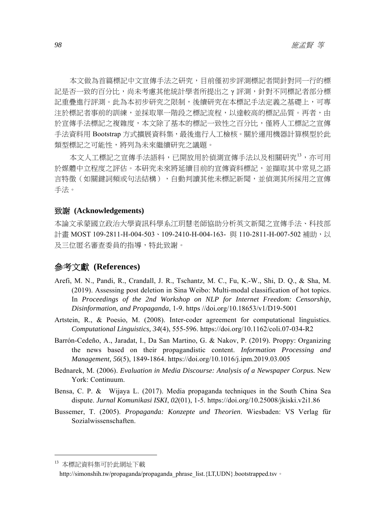本文做為首篇標記中文宣傳手法之研究,目前僅初步評測標記者間針對同一行的標 記是否一致的百分比,尚未考慮其他統計學者所提出之 γ 評測, 針對不同標記者部分標 記重疊進行評測。此為本初步研究之限制,後續研究在本標記手法定義之基礎上,可專 注於標記者事前的訓練,並採取單一階段之標記流程,以達較高的標記品質。再者,由 於宣傳手法標記之複雜度,本文除了基本的標記一致性之百分比,僅將人工標記之宣傳 手法資料用 Bootstrap 方式擴展資料集,最後進行人工檢核。關於運用機器計算模型於此 類型標記之可能性,將列為未來繼續研究之議題。

本文人工標記之宣傳手法語料,已開放用於偵測宣傳手法以及相關研究<sup>13</sup>,亦可用 於媒體中立程度之評估。本研究未來將延續目前的宣傳資料標記,並擷取其中常見之語 言特徵(如關鍵詞頻或句法結構),自動判讀其他未標記新聞,並偵測其所採用之宣傳 手法。

#### 致謝 **(Acknowledgements)**

本論文承蒙國立政治大學資訊科學系江玥慧老師協助分析英文新聞之宣傳手法、科技部 計畫 MOST 109-2811-H-004-503、109-2410-H-004-163- 與 110-2811-H-007-502 補助,以 及三位匿名審查委員的指導,特此致謝。

## 參考文獻 **(References)**

- Arefi, M. N., Pandi, R., Crandall, J. R., Tschantz, M. C., Fu, K.-W., Shi, D. Q., & Sha, M. (2019). Assessing post deletion in Sina Weibo: Multi-modal classification of hot topics. In *Proceedings of the 2nd Workshop on NLP for Internet Freedom: Censorship, Disinformation, and Propaganda*, 1-9. https //doi.org/10.18653/v1/D19-5001
- Artstein, R., & Poesio, M. (2008). Inter-coder agreement for computational linguistics. *Computational Linguistics, 34*(4), 555-596. https://doi.org/10.1162/coli.07-034-R2
- Barrón-Cedeño, A., Jaradat, I., Da San Martino, G. & Nakov, P. (2019). Proppy: Organizing the news based on their propagandistic content. *Information Processing and Management, 56*(5), 1849-1864. https://doi.org/10.1016/j.ipm.2019.03.005
- Bednarek, M. (2006). *Evaluation in Media Discourse: Analysis of a Newspaper Corpus.* New York: Continuum.
- Bensa, C. P. & Wijaya L. (2017). Media propaganda techniques in the South China Sea dispute. *Jurnal Komunikasi ISKI*, *02*(01), 1-5. https://doi.org/10.25008/jkiski.v2i1.86
- Bussemer, T. (2005). *Propaganda: Konzepte und Theorien*. Wiesbaden: VS Verlag für Sozialwissenschaften.

<sup>13</sup> 本標記資料集可於此網址下載

http://simonshih.tw/propaganda/propaganda\_phrase\_list.{LT,UDN}.bootstrapped.tsv。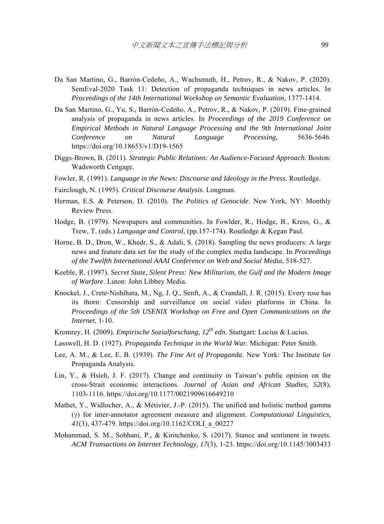- Da San Martino, G., Barrón-Cedeño, A., Wachsmuth, H., Petrov, R., & Nakov, P. (2020). SemEval-2020 Task 11: Detection of propaganda techniques in news articles. In *Proceedings of the 14th International Workshop on Semantic Evaluation*, 1377-1414.
- Da San Martino, G., Yu, S., Barrón-Cedeño, A., Petrov, R., & Nakov, P. (2019). Fine-grained analysis of propaganda in news articles. In *Proceedings of the 2019 Conference on Empirical Methods in Natural Language Processing and the 9th International Joint Conference on Natural Language Processing*, 5636-5646. https://doi.org/10.18653/v1/D19-1565
- Diggs-Brown, B. (2011). *Strategic Public Relations: An Audience-Focused Approach.* Boston: Wadsworth Cengage.
- Fowler, R. (1991). *Language in the News: Discourse and Ideology in the Press.* Routledge.
- Fairclough, N. (1995). *Critical Discourse Analysis.* Longman.
- Herman, E.S. & Peterson, D. (2010). *The Politics of Genocide*. New York, NY: Monthly Review Press.
- Hodge, B. (1979). Newspapers and communities. In Fowlder, R., Hodge, B., Kress, G., & Trew, T. (eds.) *Language and Control,* (pp.157-174). Routledge & Kegan Paul.
- Horne, B. D., Dron, W., Khedr, S., & Adali, S. (2018). Sampling the news producers: A large news and feature data set for the study of the complex media landscape. In *Proceedings of the Twelfth International AAAI Conference on Web and Social Media*, 518-527.
- Keeble, R. (1997). *Secret State, Silent Press: New Militarism, the Gulf and the Modern Image of Warfare*. Luton: John Libbey Media.
- Knockel, J., Crete-Nishihata, M., Ng, J. Q., Senft, A., & Crandall, J. R. (2015). Every rose has its thorn: Censorship and surveillance on social video platforms in China. In *Proceedings of the 5th USENIX Workshop on Free and Open Communications on the Internet*, 1-10.
- Kromrey, H. (2009). *Empirische Sozialforschung, 12th edn*. Stuttgart: Lucius & Lucius.
- Lasswell, H. D. (1927). *Propaganda Technique in the World War.* Michigan: Peter Smith.
- Lee, A. M., & Lee, E. B. (1939). *The Fine Art of Propaganda*. New York: The Institute for Propaganda Analysis.
- Lin, Y., & Hsieh, J. F. (2017). Change and continuity in Taiwan's public opinion on the cross-Strait economic interactions. *Journal of Asian and African Studies, 52*(8), 1103-1116. https://doi.org/10.1177/0021909616649210
- Mathet, Y., Widlocher, A., & Métivier, J.-P. (2015). The unified and holistic method gamma (γ) for inter-annotator agreement measure and alignment. *Computational Linguistics, 41*(3), 437-479. https://doi.org/10.1162/COLI\_a\_00227
- Mohammad, S. M., Sobhani, P., & Kiritchenko, S. (2017). Stance and sentiment in tweets. *ACM Transactions on Internet Technology, 17*(3), 1-23. https://doi.org/10.1145/3003433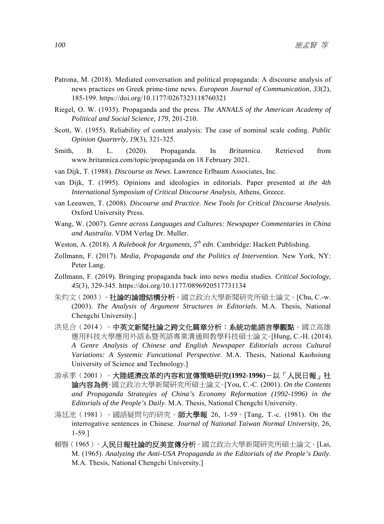- Patrona, M. (2018). Mediated conversation and political propaganda: A discourse analysis of news practices on Greek prime-time news. *European Journal of Communication*, *33*(2), 185-199. https://doi.org/10.1177/0267323118760321
- Riegel, O. W. (1935). Propaganda and the press. *The ANNALS of the American Academy of Political and Social Science, 179,* 201-210.
- Scott, W. (1955). Reliability of content analysis: The case of nominal scale coding. *Public Opinion Quarterly, 19*(3), 321-325.
- Smith, B. L. (2020). Propaganda. In *Britannica*. Retrieved from www.britannica.com/topic/propaganda on 18 February 2021.
- van Dijk, T. (1988). *Discourse as News*. Lawrence Erlbaum Associates, Inc.
- van Dijk, T. (1995). Opinions and ideologies in editorials. Paper presented at *the 4th International Symposium of Critical Discourse Analysis*, Athens, Greece.
- van Leeuwen, T. (2008). *Discourse and Practice. New Tools for Critical Discourse Analysis.*  Oxford University Press.
- Wang, W. (2007). *Genre across Languages and Cultures: Newspaper Commentaries in China and Australia*. VDM Verlag Dr. Muller.
- Weston, A. (2018). *A Rulebook for Arguments, 5th edn*. Cambridge: Hackett Publishing.
- Zollmann, F. (2017). *Media, Propaganda and the Politics of Intervention*. New York, NY: Peter Lang.
- Zollmann, F. (2019). Bringing propaganda back into news media studies. *Critical Sociology*, *45*(3), 329-345. https://doi.org/10.1177/0896920517731134
- 朱灼文(2003)。社論的論證結構分析。國立政治大學新聞研究所碩士論文。[Chu, C.-w. (2003). *The Analysis of Argument Structures in Editorials*. M.A. Thesis, National Chengchi University.]
- 洪見合(2014)。中英文新聞社論之跨文化篇章分析:系統功能語言學觀點。國立高雄 應用科技大學應用外語系暨英語專業溝通與教學科技碩士論文。[Hung, C.-H. (2014). *A Genre Analysis of Chinese and English Newspaper Editorials across Cultural Variations: A Systemic Funcational Perspective*. M.A. Thesis, National Kaohsiung University of Science and Technology.]
- 游承季(2001)。大陸經濟改革的內容和宣傳策略研究**(1992-1996)**-以「人民日報」社 論內容為例。國立政治大學新聞研究所碩士論文。[You, C.-C. (2001). *On the Contents and Propaganda Strategies of China's Economy Reformation (1992-1996) in the Editorials of the People's Daily*. M.A. Thesis, National Chengchi University.
- 湯廷池(1981)。國語疑問句的研究。師大學報 26, 1-59。[Tang, T.-c. (1981). On the interrogative sentences in Chinese. *Journal of National Taiwan Normal University*, 26, 1-59.]
- 賴暋(1965)。**人民日報社論的反美宣傳分析**。國立政治大學新聞研究所碩士論文。[Lai, M. (1965). *Analyzing the Anti-USA Propaganda in the Editorials of the People's Daily*. M.A. Thesis, National Chengchi University.]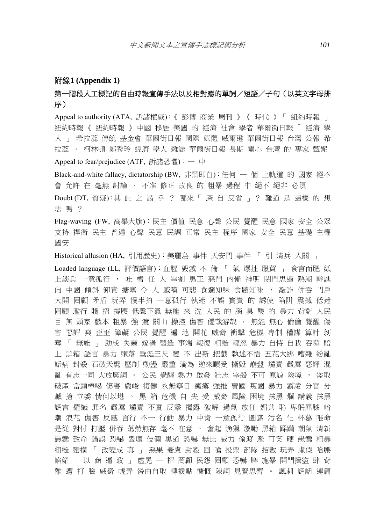#### 附錄**1 (Appendix 1)**

### 第一階段人工標記的自由時報宣傳手法以及相對應的單詞/短語/子句(以英文字母排 序)

Appeal to authority (ATA, 訴諸權威):《 彭博 商業 周刊 》《 時代 》「 紐約時報 」 紐約時報 《 紐約時報 》 中國 移居 美國 的 經濟 社會 學者 華爾街日報 「 經濟 學 人 」 希拉蕊 傳統 基金會 華爾街日報 國際 媒體 威爾遜 華爾街日報 台灣 公報 希 拉蕊 . 柯林頓 鄭秀玲 經濟 學人 雜誌 華爾街日報 長期 關心 台灣 的 專家 甄妮

Appeal to fear/prejudice (ATF, 訴諸恐懼): 一 中

Black-and-white fallacy, dictatorship (BW, 非黑即白):任何 一 個 上軌道 的 國家 絕不 會 允許 在 毫無 討論 、 不准 修正 改良 的 粗暴 過程 中 絕不 絕非 必須

Doubt (DT, 質疑):其 此 之 謂 乎 ? 哪來「 深 自 反省 」? 難道 是 這樣 的 想 法 嗎 ?

Flag-waving (FW, 高舉大旗):民主 價值 民意 心聲 公民 覺醒 民意 國家 安全 公眾 支持 捍衛 民主 普遍 心聲 民意 民調 正常 民主 程序 國家 安全 民意 基礎 主權 國安

Historical allusion (HA, 引用歷史):美麗島 事件 天安門 事件 「 引 清兵 入關 」

Loaded language (LL, 評價語言):血腥 毀滅 不 倫 「 氣 爆扯 服貿 」 食言而肥 紙 上談兵 一意孤行 , 吐 槽 任 人 宰割 馬王 惡鬥 內慚 神明 閉門思過 熱潮 幹譙 向 中國 傾斜 卸責 搪塞 令 人 感嘆 可悲 食髓知味 食髓知味 , 敲詐 併吞 門戶 大開 罔顧 矛盾 玩弄 慢半拍 一意孤行 執迷 不誤 寶貴 的 誘使 陷阱 震撼 低迷 罔顧 濫行 賤 招 撐腰 低聲下氣 無能 來 洗 人民 的 腦 臭 酸 的 暴力 背對 人民 目 無 頭家 戲本 粗暴 強 渡 關山 操控 傷害 優哉游哉 , 無能 無心 偷偷 覺醒 傷 害 惡評 爽 歪歪 障礙 公民 覺醒 遍 地 開花 威脅 衝擊 危機 專制 權謀 算計 剝 奪 「 無能 」 助成 失靈 嫁禍 製造 事端 報復 粗糙 輕忽 暴力 自恃 自我 吞噬 賠 上 黑箱 語言 暴力 墮落 垂涎三尺 變 不 出新 把戲 執迷不悟 五花大綁 嘈雜 紛亂 詬病 封殺 石破天驚 壓制 動盪 嚴重 淪為 逆來順受 撕毀 崩盤 譴責 嚴厲 惡評 混 亂 有志一同 大放厥詞 。 公民 覺醒 熱力 啟發 壯志 宰殺 不可 原諒 險境 , 盜取 破產 當頭棒喝 傷害 嚴峻 復健 永無寧日 癱瘓 強推 賣國 叛國 暴力 霸凌 分官 分 贓 搶 立委 情何以堪 。 黑 箱 危機 自 失 受 威脅 風險 困境 抹黑 爛 講義 抹黑 謊言 羅織 罪名 嚴厲 譴責 不實 反擊 揭露 破解 過氣 放任 媚共 恥 卑躬屈膝 暗 潮 浪花 傷害 反感 言行 不一 行動 暴力 中肯 一意孤行 圖謀 污名 化 杯葛 唯命 是從 對付 打壓 併吞 蕩然無存 毫不 在意 。 奮起 漁獵 激勵 黑箱 蹂躪 朝氣 清新 愚蠢 致命 錯誤 恐嚇 毀壞 伎倆 黑道 恐嚇 無比 威力 偷渡 濫 可笑 硬 愚蠢 粗暴 粗糙 蠻橫 「 改變成 真 」 惡果 憂慮 封殺 回 嗆 投票 部隊 招數 玩弄 虛假 哈腰 諂媚 「 以 商 逼 政 」 虛晃 一 招 罔顧 民怨 罔顧 恐嚇 牌 施暴 開門揖盜 肆 背 離 遭 打 臉 威脅 唬弄 咎由自取 轉捩點 慷慨 陳詞 見賢思齊 。 諷刺 謊話 連篇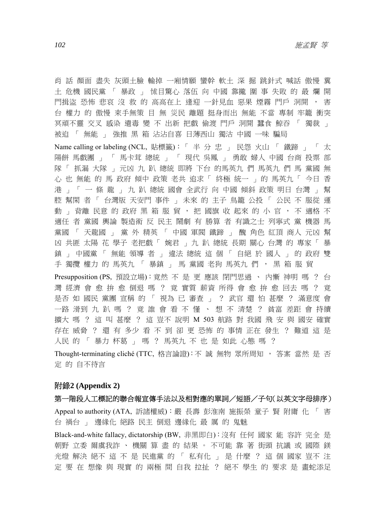肖 話 顏面 盡失 灰頭土臉 輸掉 一廂情願 蠻幹 軟土 深 掘 跳針式 喊話 傲慢 糞 土 危機 國民黨 「 暴政 」 怵目驚心 落伍 向 中國 靠攏 圍 事 失敗 的 最 爛 開 門揖盜 恐怖 悲哀 沒 救 的 高高在上 逢迎 一針見血 惡果 煙霧 門戶 洞開 , 害 台 權力 的 傲慢 束手無策 目 無 災民 離題 挺身而出 無能 不當 專制 牢籠 衝突 冥頑不靈 交叉 感染 遺毒 變 不 出新 把戲 偷渡 門戶 洞開 蠶食 鯨吞 「 獨裁 」 被迫 「 無能 」 強推 黑 箱 沾沾自喜 日薄西山 獨沽 中國 一味 騙局 Name calling or labeling (NCL, 貼標籤): 「 半 分 忠 」 民怨 火山 「 鐵蹄 」 「 太 陽餅 馬戲團 」 「 馬卡茸 總統 」 「 現代 吳鳳 」 勇敢 婦人 中國 台商 投票 部 隊「 抓漏 大隊 」 元凶 九 趴 總統 即將 下台 的馬英九 們 馬英九 們 馬 黨國 無 心 也 無能 的 馬 政府 傾中 政策 老共 追求「 終極 統一 」 的 馬英九 「 今日 香 港 」 「 一 條 龍 」 九 趴 總統 國會 全武行 向 中國 傾斜 政策 明日 台灣 」 幫 腔 幫閑 者 「 台灣版 天安門 事件 」 未來 的 主子 鳥籠 公投 「 公民 不 服從 運 動 」 背離 民意 的 政府 黑 箱 服 貿 , 把 國旗 收 起來 的 小 官 , 不 適格 不 適任 者 黨國 輿論 製造術 反 民主 鬧劇 有 勝算 者 有識之士 列寧式 黨 機器 馬 黨國 「 天龍國 」 黨 外 精英 「 中國 軍閥 鐵蹄 」 醜 角色 紅頂 商人 元凶 幫 凶 共匪 太陽 花 學子 老把戲 「 婉君 」 九 趴 總統 長期 關心 台灣 的 專家 「 暴 鎮 」 中國黨 「 無能 領導 者 」 違法 總統 這 個 「 自絕 於 國人 」 的 政府 雙 手 獨攬 權力 的 馬英九 「 暴鎮 」 馬 黨國 老狗 馬英九 們 , 黑 箱 服 貿 Presupposition (PS, 預設立場):竟然 不 是 更 應該 閉門思過 、 內慚 神明 嗎 ? 台 灣 經濟 會 愈 拚 愈 倒退 嗎 ? 竟 實質 薪資 所得 會 愈 拚 愈 回去 嗎 ? 竟

是否 如 國民 黨團 宣稱 的 「 視為 已 審查 」 ? 武官 還 怕 甚麼 ? 滿意度 會 一路 滑到 九 趴 嗎 ? 竟 誰 會 看 不 懂 、 想 不 清楚 ? 貧富 差距 會 持續 擴大 嗎 ? 這 叫 甚麼 ? 這 豈不 說明 M 503 航路 對 我國 飛 安 與 國安 確實 存在 威脅 ? 還 有 多少 看 不 到 卻 更 恐怖 的 事情 正在 發生 ? 難道 這 是 人民 的 「 暴力 杯葛 」 嗎 ? 馬英九 不 也 是 如此 心態 嗎 ?

Thought-terminating cliché (TTC, 格言論證):不 誠 無物 眾所周知 , 答案 當然 是 否 定 的 自不待言

#### 附錄**2 (Appendix 2)**

第一階段人工標記的聯合報宣傳手法以及相對應的單詞/短語/子句(以英文字母排序) Appeal to authority (ATA, 訴諸權威):嚴 長壽 彭淮南 施振榮 童子 賢 附庸 化 「 害 台 禍台 」 邊緣化 絕路 民主 倒退 邊緣化 最 厲 的 鬼魅

Black-and-white fallacy, dictatorship (BW, 非黑即白):沒有 任何 國家 能 容許 完全 是 朝野 立委 爾虞我詐 、 機關 算 盡 的 結果 。 不可能 靠 著 街頭 抗議 或 國際 鎂 光燈 解決 絕不 這 不 是 民進黨 的 「 私有化 」 是 什麼 ? 這 個 國家 豈不 注 定 要 在 想像 與 現實 的 兩極 間 自我 拉扯 ? 絕不 學生 的 要求 是 畫蛇添足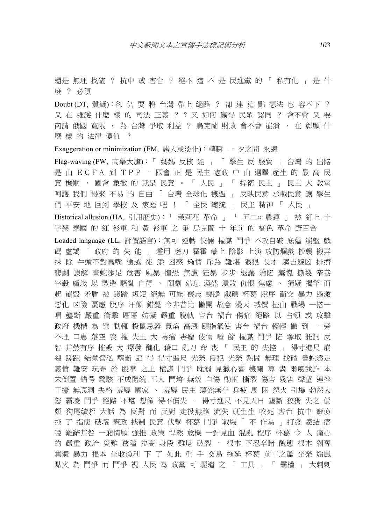還是 無理 找碴 ? 抗中 或 害台 ? 絕不 這 不 是 民進黨 的 「 私有化 」 是 什 麼 ? 必須

Doubt (DT, 質疑):卻 仍 要 將 台灣 帶上 絕路 ? 卻 連 這 點 想法 也 容不下 ? 又 在 維護 什麼 樣 的 司法 正義 ? ? 又 如何 贏得 民眾 認同 ? 會不會 又 要 商請 俄國 寬限 , 為 台灣 爭取 利益 ? 烏克蘭 財政 會不會 崩潰 , 在 彰顯 什 麼 樣 的 法律 價值 ?

Exaggeration or minimization (EM, 誇大或淡化):轉瞬 一 夕之間 永遠

Flag-waving (FW, 高舉大旗): 「媽媽 反核 能 」 「 學生 反 服貿 」 台灣 的 出路 是 由 ECFA 到 TPP 。 國會 正 是 民主 憲政 中 由 選舉 產生 的 最 高 民 意 機關, 國會 象徵 的 就是 民意。「 人民 」「 捍衛 民主 」 民主 大 教室 呵護 我們 得來 不易 的 自由 「 台灣 全球化 機遇 」 反映民意 承載民意 讓 學生 們 平安 地 回到 學校 及 家庭 吧 ! 「 全民 總統 」 民主 精神 「 人民 」 Historical allusion (HA, 引用歷史): 「 茉莉花 革命 」 「 五二o 農運 」 被 釘上 十 字架 泰國 的 紅 衫軍 和 黃 衫軍 之 爭 烏克蘭 十 年前 的 橘色 革命 野百合 Loaded language (LL, 評價語言):無可 逆轉 伎倆 權謀 鬥爭 不攻自破 底蘊 崩盤 戲 碼 虛矯 「 政府 的 失 能 」 濫用 磨刀 霍霍 蒙上 陰影 上演 攻防爛戲 抄襲 搬弄 抹 除 牛頭不對馬嘴 逾越 徒 添 困惑 矯情 斥為 難堪 狠狠 長才 趨吉避凶 排擠 悲劇 誤解 畫蛇添足 危害 風暴 惶恐 焦慮 狂暴 步步 退讓 淪陷 羞愧 撕裂 窄巷 宰殺 膚淺 以 製造 騷亂 自得 , 鬧劇 姑息 漠然 潰敗 仇恨 焦慮 、 猜疑 揭竿 而 起 崩毀 矛盾 被 踐踏 短短 絕無 可能 喪志 喪膽 戲碼 杯葛 脫序 衝突 暴力 過激 惡化 凶險 憂慮 脫序 汗顏 錯覺 今非昔比 撇開 故意 漫天 喊價 扭曲 戰場 一搭一 唱 壟斷 嚴重 衝擊 區區 妨礙 嚴重 脫軌 害台 禍台 傷痛 絕路 以 占領 或 攻擊 政府 機構 為 樂 動輒 投鼠忌器 氣焰 高漲 頤指氣使 害台 禍台 輕輕 撇 到 一 旁 不理 口惠 落空 喪 權 失土 大 毒瘤 毒瘤 伎倆 唾 餘 權謀 鬥爭 陷 奪取 託詞 反 智 井然有序 摧毀 大 爆發 醜化 藉口 亂刀 命 喪 「 民主 的 失控 」 得寸進尺 崩 裂 蹉跎 結黨營私 壟斷 逼 得 得寸進尺 光榮 侵犯 光榮 熱鬧 無理 找碴 畫蛇添足 義憤 難安 玩弄 於 股掌 之上 權謀 鬥爭 耽溺 見獵心喜 機關 算 盡 爾虞我詐 本 末倒置 錯愕 驚駭 不成體統 正大 鬥垮 無效 自傷 動輒 撕裂 傷害 殘害 聲望 連挫 干擾 無底洞 失格 羞辱 國家 、 羞辱 民主 蕩然無存 兵疲 馬 困 怒火 引爆 勃然大 怒 霸凌 鬥爭 絕路 不堪 想像 得不償失 。 得寸進尺 不見天日 壟斷 狡猾 失之 偏 頗 狗尾續貂 大話 為 反對 而 反對 走投無路 流失 硬生生 咬死 害台 抗中 癱瘓 拖 了 指使 破壞 憲政 挾制 民意 伏擊 杯葛 鬥爭 戰場 「 不 作為 」 打發 癥結 瘖 啞 難辭其咎 一廂情願 強推 政策 悍然 危機 一針見血 混亂 程序 杯葛 令 人 痛心 的 嚴重 政治 災難 狹隘 拉高 身段 難堪 破裂 , 根本 不忍卒睹 醜態 根本 剝奪 集體 暴力 根本 坐收漁利 下 了 如此 重 手 交易 拖延 杯葛 前車之鑑 光榮 煽風 點火 為 鬥爭 而 鬥爭 視 人民 為 政黨 可 驅遣 之 「 工具 」 「 霸權 」 大剌剌